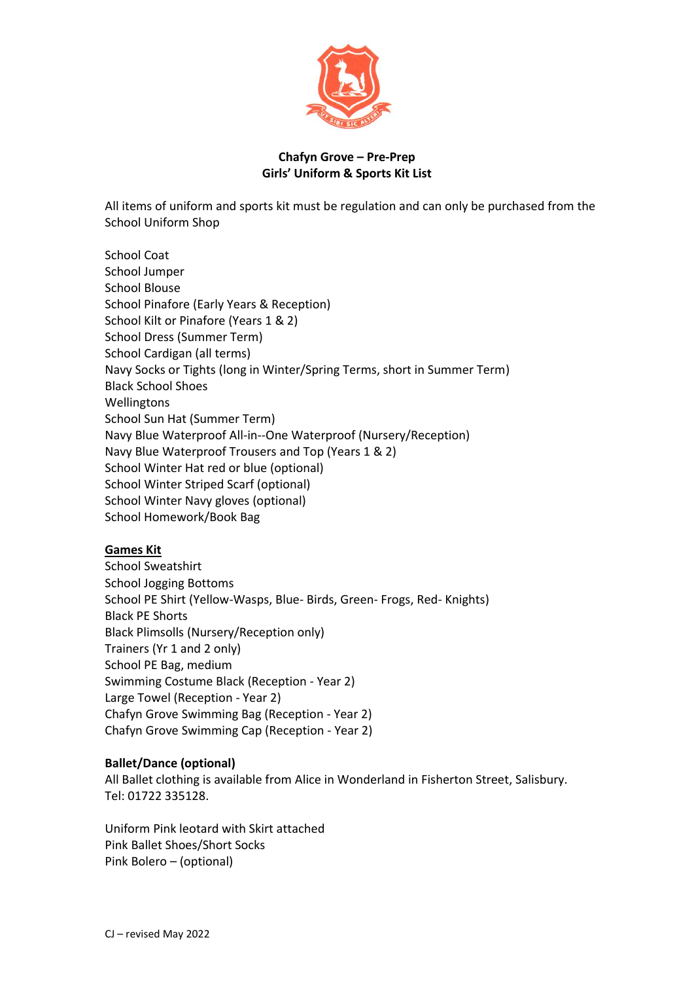

## **Chafyn Grove – Pre-Prep Girls' Uniform & Sports Kit List**

All items of uniform and sports kit must be regulation and can only be purchased from the School Uniform Shop

School Coat School Jumper School Blouse School Pinafore (Early Years & Reception) School Kilt or Pinafore (Years 1 & 2) School Dress (Summer Term) School Cardigan (all terms) Navy Socks or Tights (long in Winter/Spring Terms, short in Summer Term) Black School Shoes **Wellingtons** School Sun Hat (Summer Term) Navy Blue Waterproof All-in--One Waterproof (Nursery/Reception) Navy Blue Waterproof Trousers and Top (Years 1 & 2) School Winter Hat red or blue (optional) School Winter Striped Scarf (optional) School Winter Navy gloves (optional) School Homework/Book Bag

# **Games Kit**

School Sweatshirt School Jogging Bottoms School PE Shirt (Yellow-Wasps, Blue- Birds, Green- Frogs, Red- Knights) Black PE Shorts Black Plimsolls (Nursery/Reception only) Trainers (Yr 1 and 2 only) School PE Bag, medium Swimming Costume Black (Reception - Year 2) Large Towel (Reception - Year 2) Chafyn Grove Swimming Bag (Reception - Year 2) Chafyn Grove Swimming Cap (Reception - Year 2)

### **Ballet/Dance (optional)**

All Ballet clothing is available from Alice in Wonderland in Fisherton Street, Salisbury. Tel: 01722 335128.

Uniform Pink leotard with Skirt attached Pink Ballet Shoes/Short Socks Pink Bolero – (optional)